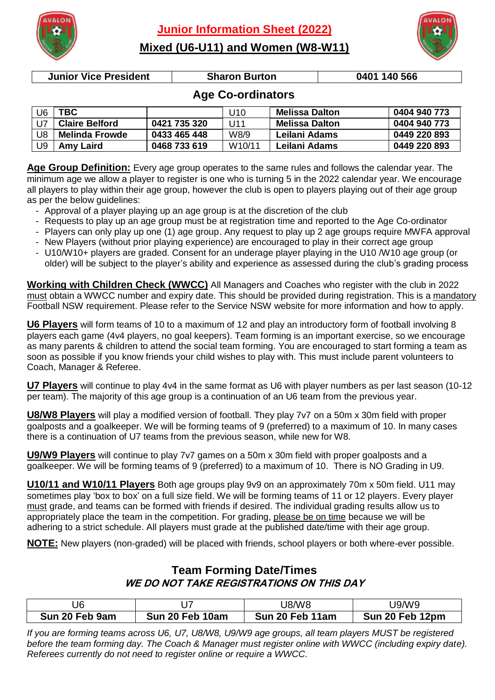**Junior Information Sheet (2022)**



**Mixed (U6-U11) and Women (W8-W11)**



**Junior Vice President Sharon Burton 0401 140 566**

## **Age Co-ordinators**

| U6 | <b>TBC</b>            |              | U10                 | Melissa Dalton | 0404 940 773 |
|----|-----------------------|--------------|---------------------|----------------|--------------|
| U7 | <b>Claire Belford</b> | 0421 735 320 | U11                 | Melissa Dalton | 0404 940 773 |
| U8 | <b>Melinda Frowde</b> | 0433 465 448 | W8/9                | Leilani Adams  | 0449 220 893 |
| U9 | <b>Amy Laird</b>      | 0468 733 619 | W <sub>10</sub> /11 | Leilani Adams  | 0449 220 893 |

**Age Group Definition:** Every age group operates to the same rules and follows the calendar year. The minimum age we allow a player to register is one who is turning 5 in the 2022 calendar year. We encourage all players to play within their age group, however the club is open to players playing out of their age group as per the below guidelines:

- Approval of a player playing up an age group is at the discretion of the club
- Requests to play up an age group must be at registration time and reported to the Age Co-ordinator
- Players can only play up one (1) age group. Any request to play up 2 age groups require MWFA approval
- New Players (without prior playing experience) are encouraged to play in their correct age group
- U10/W10+ players are graded. Consent for an underage player playing in the U10 /W10 age group (or older) will be subject to the player's ability and experience as assessed during the club's grading process

**Working with Children Check (WWCC)** All Managers and Coaches who register with the club in 2022 must obtain a WWCC number and expiry date. This should be provided during registration. This is a mandatory Football NSW requirement. Please refer to the Service NSW website for more information and how to apply.

**U6 Players** will form teams of 10 to a maximum of 12 and play an introductory form of football involving 8 players each game (4v4 players, no goal keepers). Team forming is an important exercise, so we encourage as many parents & children to attend the social team forming. You are encouraged to start forming a team as soon as possible if you know friends your child wishes to play with. This must include parent volunteers to Coach, Manager & Referee.

**U7 Players** will continue to play 4v4 in the same format as U6 with player numbers as per last season (10-12 per team). The majority of this age group is a continuation of an U6 team from the previous year.

**U8/W8 Players** will play a modified version of football. They play 7v7 on a 50m x 30m field with proper goalposts and a goalkeeper. We will be forming teams of 9 (preferred) to a maximum of 10. In many cases there is a continuation of U7 teams from the previous season, while new for W8.

**U9/W9 Players** will continue to play 7v7 games on a 50m x 30m field with proper goalposts and a goalkeeper. We will be forming teams of 9 (preferred) to a maximum of 10. There is NO Grading in U9.

**U10/11 and W10/11 Players** Both age groups play 9v9 on an approximately 70m x 50m field. U11 may sometimes play 'box to box' on a full size field. We will be forming teams of 11 or 12 players. Every player must grade, and teams can be formed with friends if desired. The individual grading results allow us to appropriately place the team in the competition. For grading, please be on time because we will be adhering to a strict schedule. All players must grade at the published date/time with their age group.

**NOTE:** New players (non-graded) will be placed with friends, school players or both where-ever possible.

#### **Team Forming Date/Times WE DO NOT TAKE REGISTRATIONS ON THIS DAY**

| J6             |                 | <b>J8/W8</b>    | J9/W9           |
|----------------|-----------------|-----------------|-----------------|
| Sun 20 Feb 9am | Sun 20 Feb 10am | Sun 20 Feb 11am | Sun 20 Feb 12pm |

*If you are forming teams across U6, U7, U8/W8, U9/W9 age groups, all team players MUST be registered before the team forming day. The Coach & Manager must register online with WWCC (including expiry date). Referees currently do not need to register online or require a WWCC.*